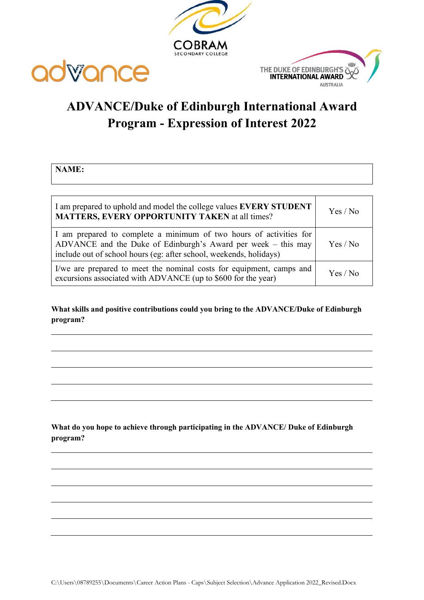





## **ADVANCE/Duke of Edinburgh International Award Program - Expression of Interest 2022**

**NAME:**

| I am prepared to uphold and model the college values EVERY STUDENT<br><b>MATTERS, EVERY OPPORTUNITY TAKEN</b> at all times?                                                                               | Yes / No |
|-----------------------------------------------------------------------------------------------------------------------------------------------------------------------------------------------------------|----------|
| I am prepared to complete a minimum of two hours of activities for<br>ADVANCE and the Duke of Edinburgh's Award per week – this may<br>include out of school hours (eg: after school, weekends, holidays) | Yes / No |
| I/we are prepared to meet the nominal costs for equipment, camps and<br>excursions associated with ADVANCE (up to \$600 for the year)                                                                     | Yes / No |

**What skills and positive contributions could you bring to the ADVANCE/Duke of Edinburgh program?**

**What do you hope to achieve through participating in the ADVANCE/ Duke of Edinburgh program?**